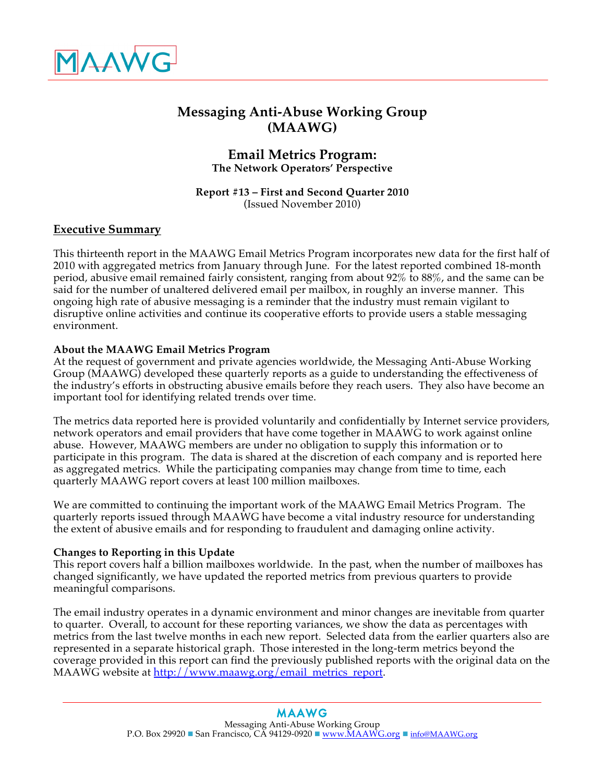

# **Messaging Anti-Abuse Working Group (MAAWG)**

### **Email Metrics Program: The Network Operators' Perspective**

**Report #13 – First and Second Quarter 2010** (Issued November 2010)

## **Executive Summary**

This thirteenth report in the MAAWG Email Metrics Program incorporates new data for the first half of 2010 with aggregated metrics from January through June. For the latest reported combined 18-month period, abusive email remained fairly consistent, ranging from about 92% to 88%, and the same can be said for the number of unaltered delivered email per mailbox, in roughly an inverse manner. This ongoing high rate of abusive messaging is a reminder that the industry must remain vigilant to disruptive online activities and continue its cooperative efforts to provide users a stable messaging environment.

### **About the MAAWG Email Metrics Program**

At the request of government and private agencies worldwide, the Messaging Anti-Abuse Working Group (MAAWG) developed these quarterly reports as a guide to understanding the effectiveness of the industry's efforts in obstructing abusive emails before they reach users. They also have become an important tool for identifying related trends over time.

The metrics data reported here is provided voluntarily and confidentially by Internet service providers, network operators and email providers that have come together in MAAWG to work against online abuse. However, MAAWG members are under no obligation to supply this information or to participate in this program. The data is shared at the discretion of each company and is reported here as aggregated metrics. While the participating companies may change from time to time, each quarterly MAAWG report covers at least 100 million mailboxes.

We are committed to continuing the important work of the MAAWG Email Metrics Program. The quarterly reports issued through MAAWG have become a vital industry resource for understanding the extent of abusive emails and for responding to fraudulent and damaging online activity.

### **Changes to Reporting in this Update**

This report covers half a billion mailboxes worldwide. In the past, when the number of mailboxes has changed significantly, we have updated the reported metrics from previous quarters to provide meaningful comparisons.

The email industry operates in a dynamic environment and minor changes are inevitable from quarter to quarter. Overall, to account for these reporting variances, we show the data as percentages with metrics from the last twelve months in each new report. Selected data from the earlier quarters also are represented in a separate historical graph. Those interested in the long-term metrics beyond the coverage provided in this report can find the previously published reports with the original data on the MAAWG website at http://www.maawg.org/email\_metrics\_report.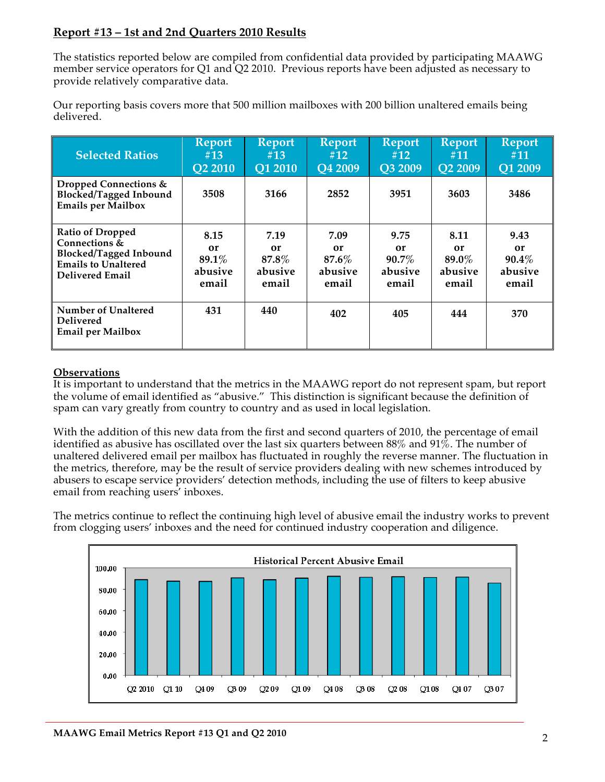## **Report #13 – 1st and 2nd Quarters 2010 Results**

The statistics reported below are compiled from confidential data provided by participating MAAWG member service operators for Q1 and Q2 2010. Previous reports have been adjusted as necessary to provide relatively comparative data.

Our reporting basis covers more that 500 million mailboxes with 200 billion unaltered emails being delivered.

| <b>Selected Ratios</b>                                                              | <b>Report</b>  | <b>Report</b>  | <b>Report</b>  | <b>Report</b> | <b>Report</b>  | <b>Report</b> |
|-------------------------------------------------------------------------------------|----------------|----------------|----------------|---------------|----------------|---------------|
|                                                                                     | #13            | #13            | #12            | #12           | #11            | #11           |
|                                                                                     | <b>Q2 2010</b> | <b>O1 2010</b> | <b>Q4 2009</b> | O3 2009       | <b>O2 2009</b> | Q1 2009       |
| Dropped Connections &<br><b>Blocked/Tagged Inbound</b><br><b>Emails per Mailbox</b> | 3508           | 3166           | 2852           | 3951          | 3603           | 3486          |
| <b>Ratio of Dropped</b>                                                             | 8.15           | 7.19           | 7.09           | 9.75          | 8.11           | 9.43          |
| Connections &                                                                       | or             | or             | or             | or            | or             | or            |
| <b>Blocked/Tagged Inbound</b>                                                       | $89.1\%$       | $87.8\%$       | $87.6\%$       | $90.7\%$      | 89.0%          | $90.4\%$      |
| <b>Emails to Unaltered</b>                                                          | abusive        | abusive        | abusive        | abusive       | abusive        | abusive       |
| <b>Delivered Email</b>                                                              | email          | email          | email          | email         | email          | email         |
| Number of Unaltered<br><b>Delivered</b><br><b>Email per Mailbox</b>                 | 431            | 440            | 402            | 405           | 444            | 370           |

### **Observations**

It is important to understand that the metrics in the MAAWG report do not represent spam, but report the volume of email identified as "abusive." This distinction is significant because the definition of spam can vary greatly from country to country and as used in local legislation.

With the addition of this new data from the first and second quarters of 2010, the percentage of email identified as abusive has oscillated over the last six quarters between 88% and 91%. The number of unaltered delivered email per mailbox has fluctuated in roughly the reverse manner. The fluctuation in the metrics, therefore, may be the result of service providers dealing with new schemes introduced by abusers to escape service providers' detection methods, including the use of filters to keep abusive email from reaching users' inboxes.

The metrics continue to reflect the continuing high level of abusive email the industry works to prevent from clogging users' inboxes and the need for continued industry cooperation and diligence.